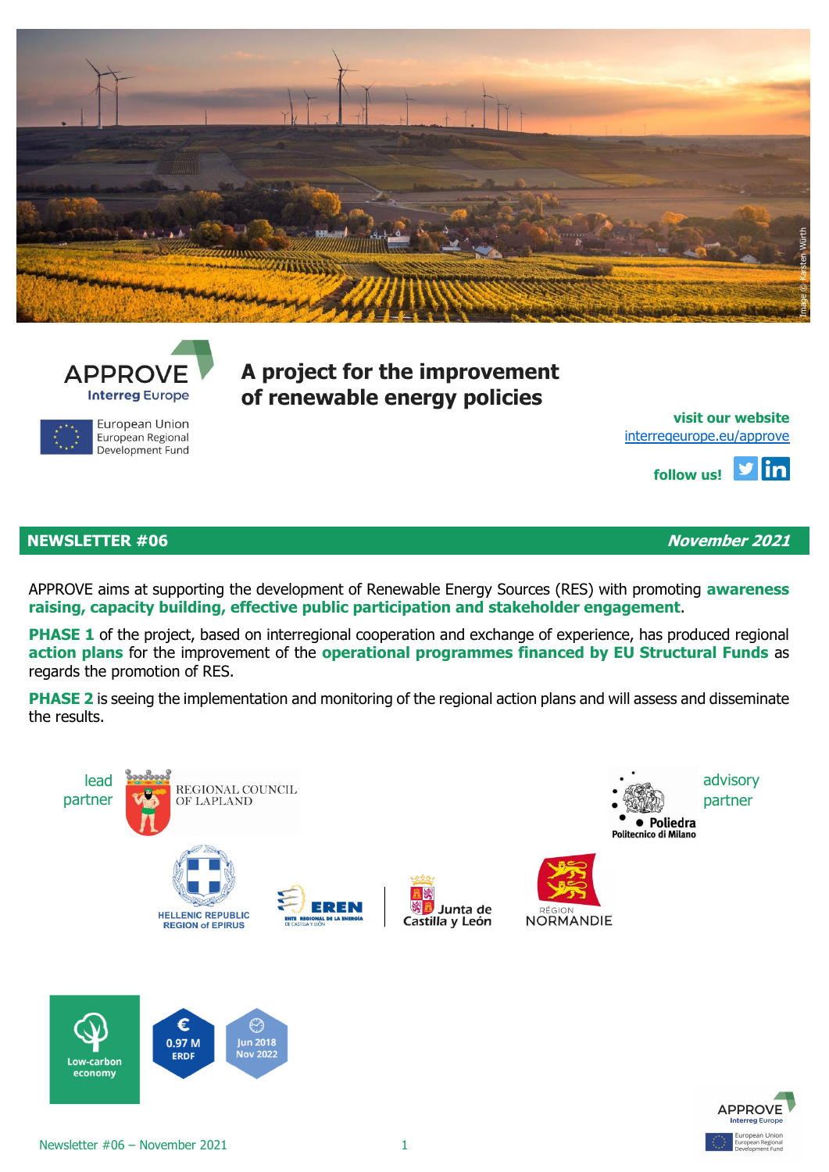



European Union European Regional Development Fund **A project for the improvement of renewable energy policies**

**[visit](http://eepurl.com/gbcZA9) our website** [interregeurope.eu/approve](file:///C:/Users/Lue/Dropbox/0%20work%20in%20progress%20AleAlex/APPROVE/4%20communication/Newsletter/NL3/interregeurope.eu/approve)

> ylin **follow us!**

# **NEWSLETTER #06 November 2021**

APPROVE aims at supporting the development of Renewable Energy Sources (RES) with promoting **awareness raising, capacity building, effective public participation and stakeholder engagement**.

**PHASE 1** of the project, based on interregional cooperation and exchange of experience, has produced regional **action plans** for the improvement of the **operational programmes financed by EU Structural Funds** as regards the promotion of RES.

**PHASE 2** is seeing the implementation and monitoring of the regional action plans and will assess and disseminate the results.





Low-carbon economy

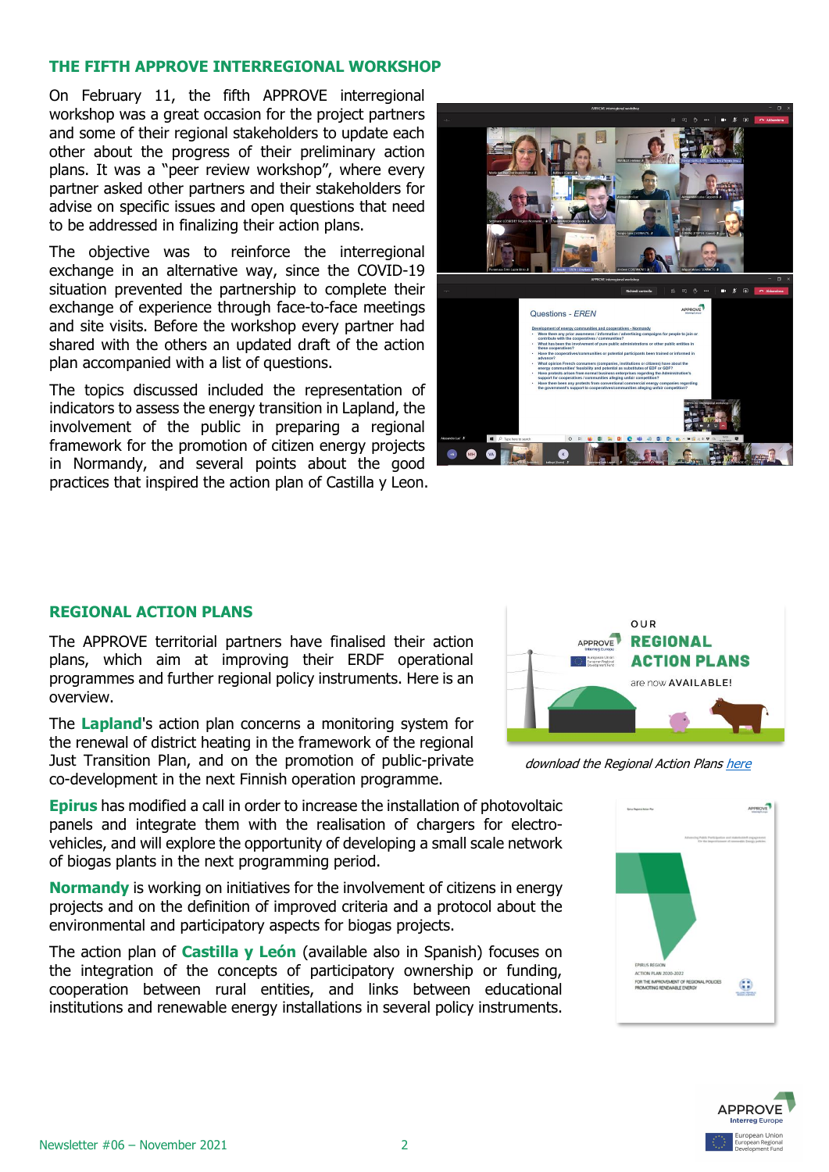### **THE FIFTH APPROVE INTERREGIONAL WORKSHOP**

On February 11, the fifth APPROVE interregional workshop was a great occasion for the project partners and some of their regional stakeholders to update each other about the progress of their preliminary action plans. It was a "peer review workshop", where every partner asked other partners and their stakeholders for advise on specific issues and open questions that need to be addressed in finalizing their action plans.

The objective was to reinforce the interregional exchange in an alternative way, since the COVID-19 situation prevented the partnership to complete their exchange of experience through face-to-face meetings and site visits. Before the workshop every partner had shared with the others an updated draft of the action plan accompanied with a list of questions.

The topics discussed included the representation of indicators to assess the energy transition in Lapland, the involvement of the public in preparing a regional framework for the promotion of citizen energy projects in Normandy, and several points about the good practices that inspired the action plan of Castilla y Leon.



#### **REGIONAL ACTION PLANS**

The APPROVE territorial partners have finalised their action plans, which aim at improving their ERDF operational programmes and further regional policy instruments. Here is an overview.

The **Lapland**'s action plan concerns a monitoring system for the renewal of district heating in the framework of the regional Just Transition Plan, and on the promotion of public-private co-development in the next Finnish operation programme.

**Epirus** has modified a call in order to increase the installation of photovoltaic panels and integrate them with the realisation of chargers for electrovehicles, and will explore the opportunity of developing a small scale network of biogas plants in the next programming period.

**Normandy** is working on initiatives for the involvement of citizens in energy projects and on the definition of improved criteria and a protocol about the environmental and participatory aspects for biogas projects.

The action plan of **Castilla y León** (available also in Spanish) focuses on the integration of the concepts of participatory ownership or funding, cooperation between rural entities, and links between educational institutions and renewable energy installations in several policy instruments.



download the Regional Action Plans [here](https://www.interregeurope.eu/approve/news/news-article/12983/approve-regional-action-plans-now-available/)